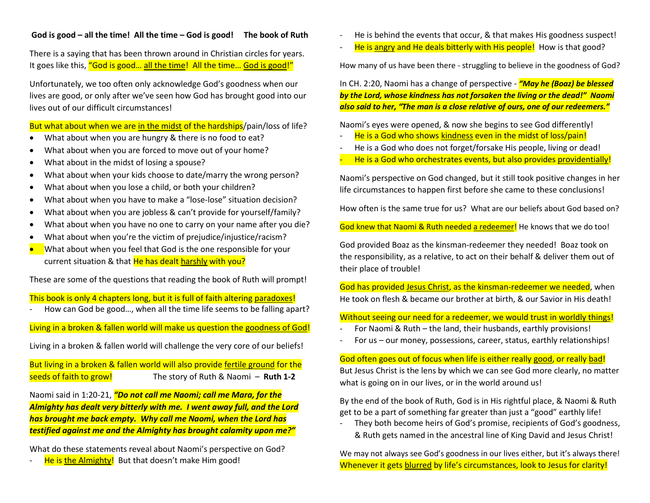## **God is good – all the time! All the time – God is good! The book of Ruth**

There is a saying that has been thrown around in Christian circles for years. It goes like this, "God is good... all the time! All the time... God is good!"

Unfortunately, we too often only acknowledge God's goodness when our lives are good, or only after we've seen how God has brought good into our lives out of our difficult circumstances!

But what about when we are in the midst of the hardships/pain/loss of life?

- What about when you are hungry & there is no food to eat?
- What about when you are forced to move out of your home?
- What about in the midst of losing a spouse?
- What about when your kids choose to date/marry the wrong person?
- What about when you lose a child, or both your children?
- What about when you have to make a "lose-lose" situation decision?
- What about when you are jobless & can't provide for yourself/family?
- What about when you have no one to carry on your name after you die?
- What about when you're the victim of prejudice/injustice/racism?
- What about when you feel that God is the one responsible for your current situation & that He has dealt harshly with you?

These are some of the questions that reading the book of Ruth will prompt!

This book is only 4 chapters long, but it is full of faith altering paradoxes!

How can God be good..., when all the time life seems to be falling apart?

Living in a broken & fallen world will make us question the goodness of God!

Living in a broken & fallen world will challenge the very core of our beliefs!

But living in a broken & fallen world will also provide fertile ground for the seeds of faith to grow! The story of Ruth & Naomi – **Ruth 1-2**

Naomi said in 1:20-21, *"Do not call me Naomi; call me Mara, for the Almighty has dealt very bitterly with me. I went away full, and the Lord has brought me back empty. Why call me Naomi, when the Lord has testified against me and the Almighty has brought calamity upon me?"*

What do these statements reveal about Naomi's perspective on God?

He is the Almighty! But that doesn't make Him good!

- He is behind the events that occur, & that makes His goodness suspect!
- He is angry and He deals bitterly with His people! How is that good?

How many of us have been there - struggling to believe in the goodness of God?

In CH. 2:20, Naomi has a change of perspective - *"May he (Boaz) be blessed by the Lord, whose kindness has not forsaken the living or the dead!" Naomi also said to her, "The man is a close relative of ours, one of our redeemers."*

Naomi's eyes were opened, & now she begins to see God differently!

- He is a God who shows kindness even in the midst of loss/pain!
- He is a God who does not forget/forsake His people, living or dead!
- He is a God who orchestrates events, but also provides providentially!

Naomi's perspective on God changed, but it still took positive changes in her life circumstances to happen first before she came to these conclusions!

How often is the same true for us? What are our beliefs about God based on?

God knew that Naomi & Ruth needed a redeemer! He knows that we do too!

God provided Boaz as the kinsman-redeemer they needed! Boaz took on the responsibility, as a relative, to act on their behalf & deliver them out of their place of trouble!

God has provided Jesus Christ, as the kinsman-redeemer we needed, when He took on flesh & became our brother at birth, & our Savior in His death!

Without seeing our need for a redeemer, we would trust in worldly things!

- For Naomi & Ruth the land, their husbands, earthly provisions!
- For us our money, possessions, career, status, earthly relationships!

God often goes out of focus when life is either really good, or really bad! But Jesus Christ is the lens by which we can see God more clearly, no matter what is going on in our lives, or in the world around us!

By the end of the book of Ruth, God is in His rightful place, & Naomi & Ruth get to be a part of something far greater than just a "good" earthly life!

They both become heirs of God's promise, recipients of God's goodness, & Ruth gets named in the ancestral line of King David and Jesus Christ!

We may not always see God's goodness in our lives either, but it's always there! Whenever it gets blurred by life's circumstances, look to Jesus for clarity!